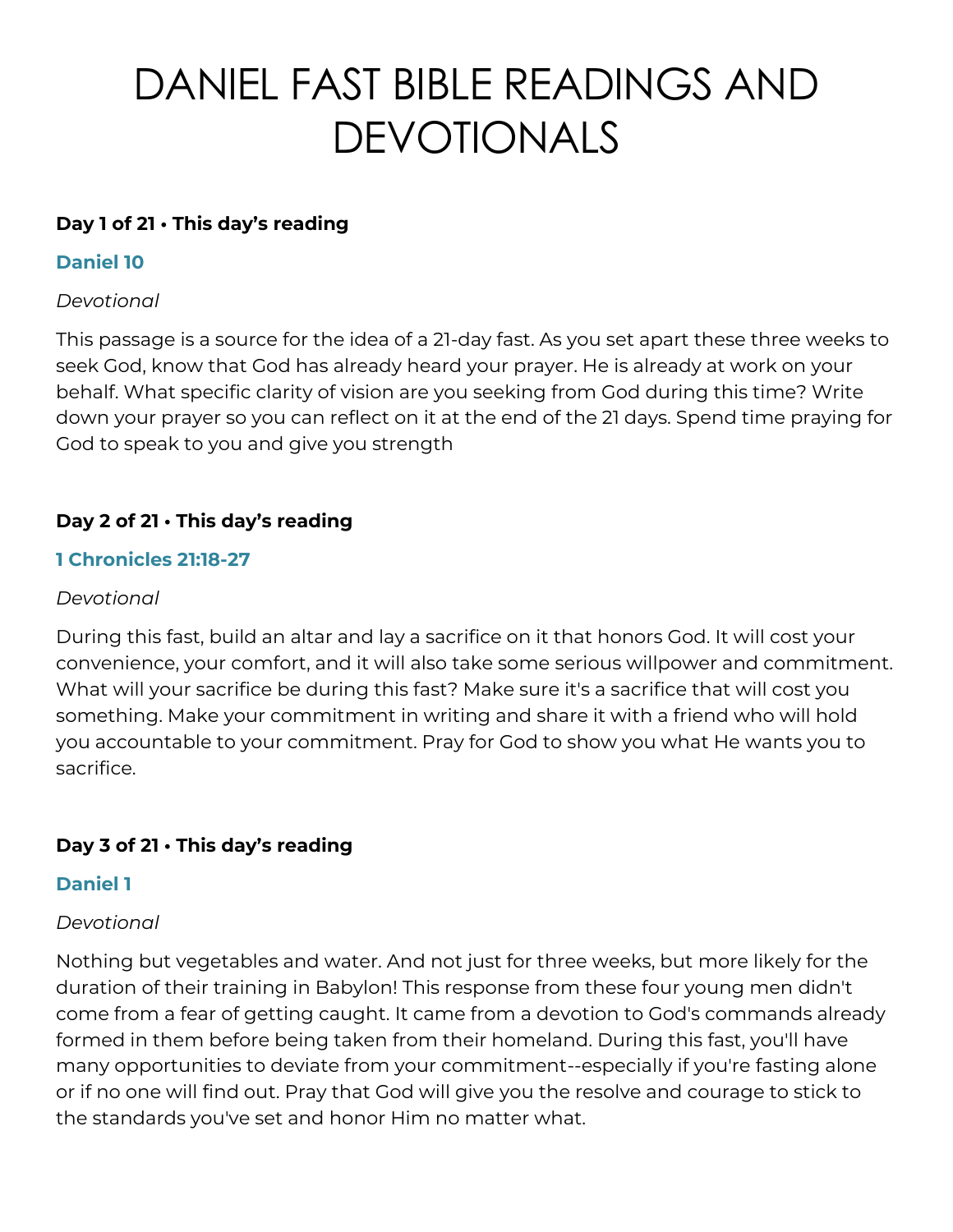# DANIEL FAST BIBLE READINGS AND DEVOTIONALS

## **Day 1 of 21 • This day's reading**

## **Daniel 10**

## *Devotional*

This passage is a source for the idea of a 21-day fast. As you set apart these three weeks to seek God, know that God has already heard your prayer. He is already at work on your behalf. What specific clarity of vision are you seeking from God during this time? Write down your prayer so you can reflect on it at the end of the 21 days. Spend time praying for God to speak to you and give you strength

# **Day 2 of 21 • This day's reading**

## **1 Chronicles 21:18-27**

## *Devotional*

During this fast, build an altar and lay a sacrifice on it that honors God. It will cost your convenience, your comfort, and it will also take some serious willpower and commitment. What will your sacrifice be during this fast? Make sure it's a sacrifice that will cost you something. Make your commitment in writing and share it with a friend who will hold you accountable to your commitment. Pray for God to show you what He wants you to sacrifice.

# **Day 3 of 21 • This day's reading**

#### **Daniel 1**

#### *Devotional*

Nothing but vegetables and water. And not just for three weeks, but more likely for the duration of their training in Babylon! This response from these four young men didn't come from a fear of getting caught. It came from a devotion to God's commands already formed in them before being taken from their homeland. During this fast, you'll have many opportunities to deviate from your commitment--especially if you're fasting alone or if no one will find out. Pray that God will give you the resolve and courage to stick to the standards you've set and honor Him no matter what.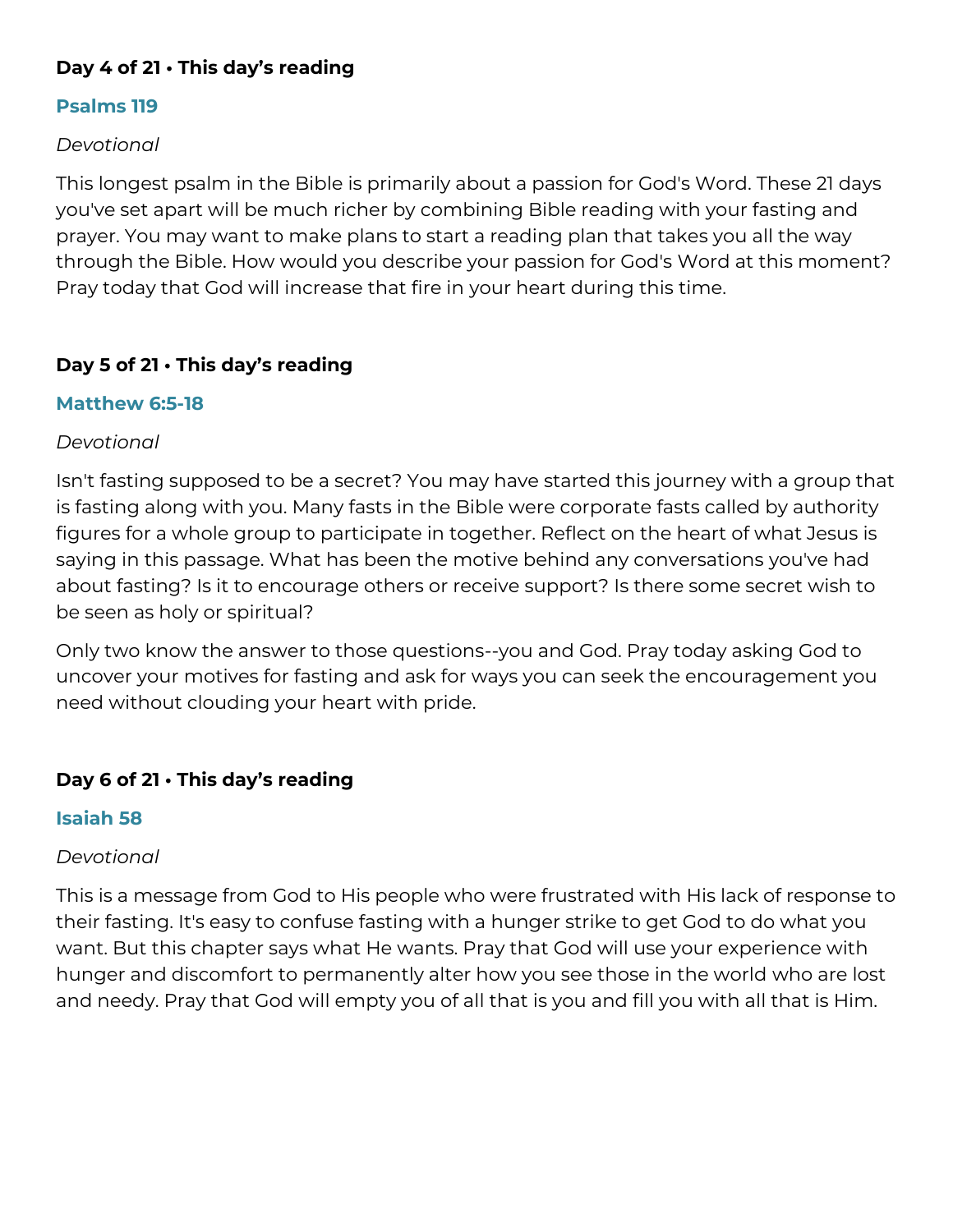# **Day 4 of 21 • This day's reading**

#### **Psalms 119**

## *Devotional*

This longest psalm in the Bible is primarily about a passion for God's Word. These 21 days you've set apart will be much richer by combining Bible reading with your fasting and prayer. You may want to make plans to start a reading plan that takes you all the way through the Bible. How would you describe your passion for God's Word at this moment? Pray today that God will increase that fire in your heart during this time.

# **Day 5 of 21 • This day's reading**

## **Matthew 6:5-18**

#### *Devotional*

Isn't fasting supposed to be a secret? You may have started this journey with a group that is fasting along with you. Many fasts in the Bible were corporate fasts called by authority figures for a whole group to participate in together. Reflect on the heart of what Jesus is saying in this passage. What has been the motive behind any conversations you've had about fasting? Is it to encourage others or receive support? Is there some secret wish to be seen as holy or spiritual?

Only two know the answer to those questions--you and God. Pray today asking God to uncover your motives for fasting and ask for ways you can seek the encouragement you need without clouding your heart with pride.

# **Day 6 of 21 • This day's reading**

#### **Isaiah 58**

#### *Devotional*

This is a message from God to His people who were frustrated with His lack of response to their fasting. It's easy to confuse fasting with a hunger strike to get God to do what you want. But this chapter says what He wants. Pray that God will use your experience with hunger and discomfort to permanently alter how you see those in the world who are lost and needy. Pray that God will empty you of all that is you and fill you with all that is Him.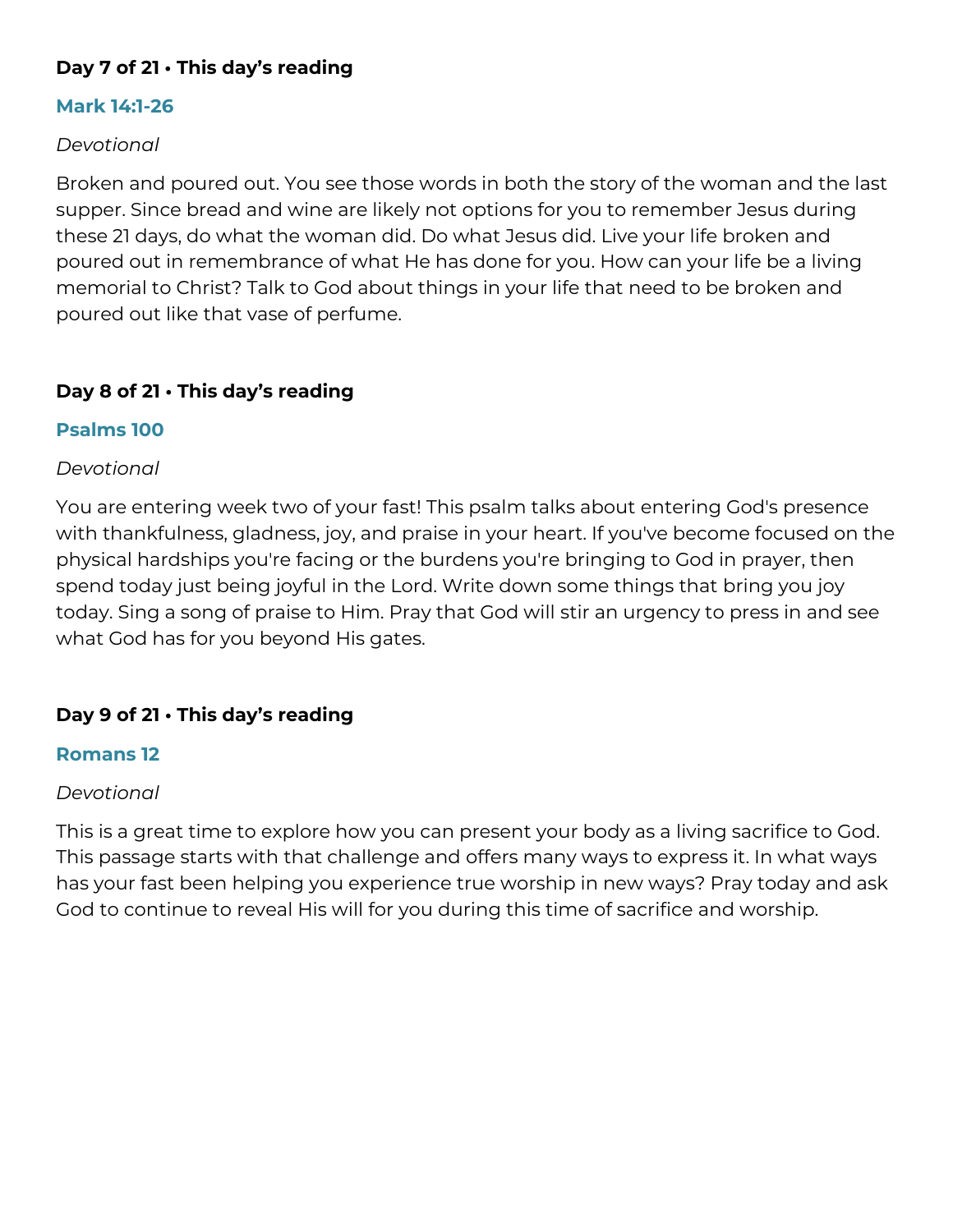# **Day 7 of 21 • This day's reading**

#### **Mark 14:1-26**

#### *Devotional*

Broken and poured out. You see those words in both the story of the woman and the last supper. Since bread and wine are likely not options for you to remember Jesus during these 21 days, do what the woman did. Do what Jesus did. Live your life broken and poured out in remembrance of what He has done for you. How can your life be a living memorial to Christ? Talk to God about things in your life that need to be broken and poured out like that vase of perfume.

## **Day 8 of 21 • This day's reading**

#### **Psalms 100**

#### *Devotional*

You are entering week two of your fast! This psalm talks about entering God's presence with thankfulness, gladness, joy, and praise in your heart. If you've become focused on the physical hardships you're facing or the burdens you're bringing to God in prayer, then spend today just being joyful in the Lord. Write down some things that bring you joy today. Sing a song of praise to Him. Pray that God will stir an urgency to press in and see what God has for you beyond His gates.

#### **Day 9 of 21 • This day's reading**

#### **Romans 12**

#### *Devotional*

This is a great time to explore how you can present your body as a living sacrifice to God. This passage starts with that challenge and offers many ways to express it. In what ways has your fast been helping you experience true worship in new ways? Pray today and ask God to continue to reveal His will for you during this time of sacrifice and worship.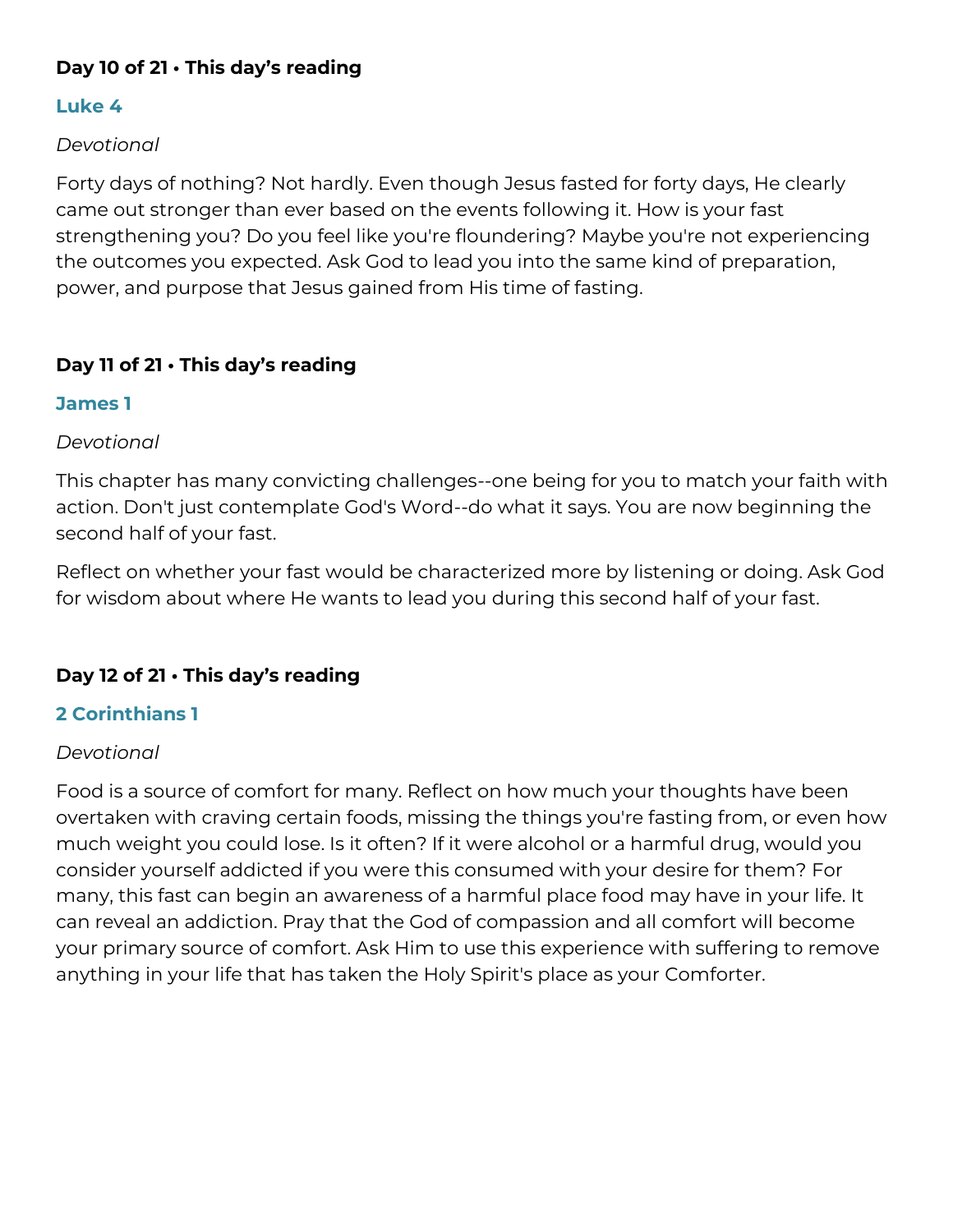# **Day 10 of 21 • This day's reading**

## **Luke 4**

## *Devotional*

Forty days of nothing? Not hardly. Even though Jesus fasted for forty days, He clearly came out stronger than ever based on the events following it. How is your fast strengthening you? Do you feel like you're floundering? Maybe you're not experiencing the outcomes you expected. Ask God to lead you into the same kind of preparation, power, and purpose that Jesus gained from His time of fasting.

# **Day 11 of 21 • This day's reading**

## **James 1**

#### *Devotional*

This chapter has many convicting challenges--one being for you to match your faith with action. Don't just contemplate God's Word--do what it says. You are now beginning the second half of your fast.

Reflect on whether your fast would be characterized more by listening or doing. Ask God for wisdom about where He wants to lead you during this second half of your fast.

# **Day 12 of 21 • This day's reading**

# **2 Corinthians 1**

# *Devotional*

Food is a source of comfort for many. Reflect on how much your thoughts have been overtaken with craving certain foods, missing the things you're fasting from, or even how much weight you could lose. Is it often? If it were alcohol or a harmful drug, would you consider yourself addicted if you were this consumed with your desire for them? For many, this fast can begin an awareness of a harmful place food may have in your life. It can reveal an addiction. Pray that the God of compassion and all comfort will become your primary source of comfort. Ask Him to use this experience with suffering to remove anything in your life that has taken the Holy Spirit's place as your Comforter.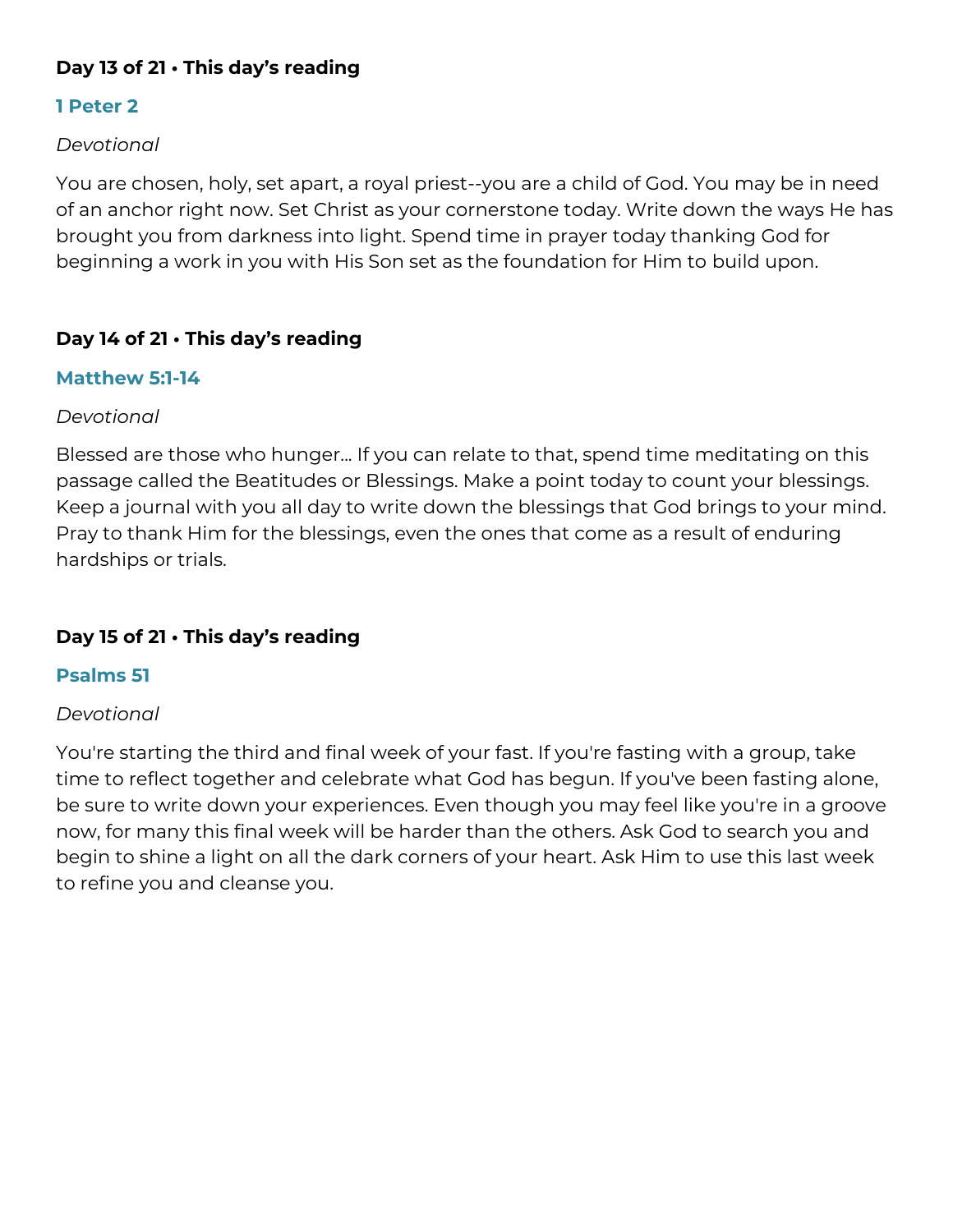# **Day 13 of 21 • This day's reading**

## **1 Peter 2**

#### *Devotional*

You are chosen, holy, set apart, a royal priest--you are a child of God. You may be in need of an anchor right now. Set Christ as your cornerstone today. Write down the ways He has brought you from darkness into light. Spend time in prayer today thanking God for beginning a work in you with His Son set as the foundation for Him to build upon.

#### **Day 14 of 21 • This day's reading**

#### **Matthew 5:1-14**

#### *Devotional*

Blessed are those who hunger... If you can relate to that, spend time meditating on this passage called the Beatitudes or Blessings. Make a point today to count your blessings. Keep a journal with you all day to write down the blessings that God brings to your mind. Pray to thank Him for the blessings, even the ones that come as a result of enduring hardships or trials.

# **Day 15 of 21 • This day's reading**

#### **Psalms 51**

#### *Devotional*

You're starting the third and final week of your fast. If you're fasting with a group, take time to reflect together and celebrate what God has begun. If you've been fasting alone, be sure to write down your experiences. Even though you may feel like you're in a groove now, for many this final week will be harder than the others. Ask God to search you and begin to shine a light on all the dark corners of your heart. Ask Him to use this last week to refine you and cleanse you.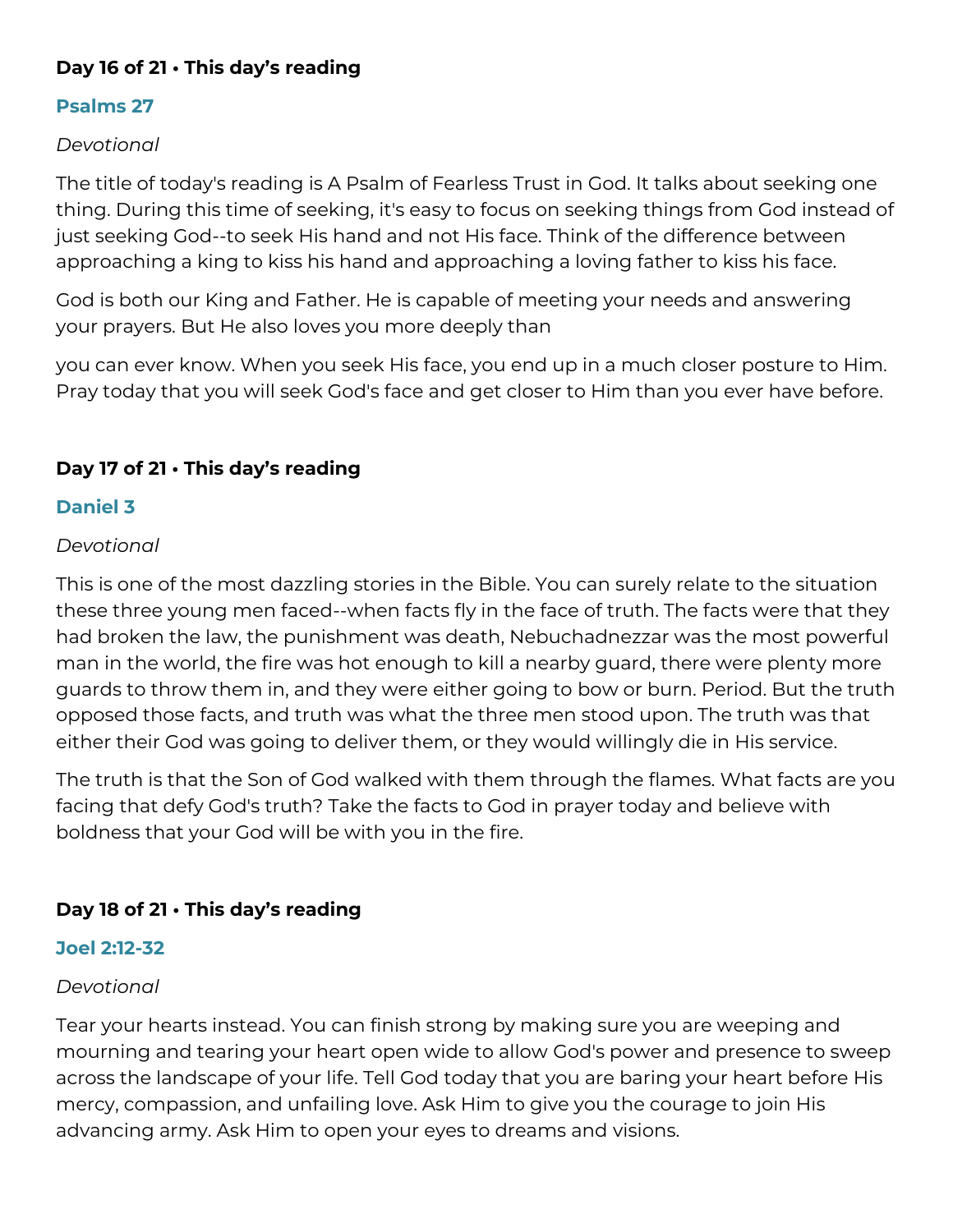# **Day 16 of 21 • This day's reading**

# **Psalms 27**

## *Devotional*

The title of today's reading is A Psalm of Fearless Trust in God. It talks about seeking one thing. During this time of seeking, it's easy to focus on seeking things from God instead of just seeking God--to seek His hand and not His face. Think of the difference between approaching a king to kiss his hand and approaching a loving father to kiss his face.

God is both our King and Father. He is capable of meeting your needs and answering your prayers. But He also loves you more deeply than

you can ever know. When you seek His face, you end up in a much closer posture to Him. Pray today that you will seek God's face and get closer to Him than you ever have before.

# **Day 17 of 21 • This day's reading**

## **Daniel 3**

## *Devotional*

This is one of the most dazzling stories in the Bible. You can surely relate to the situation these three young men faced--when facts fly in the face of truth. The facts were that they had broken the law, the punishment was death, Nebuchadnezzar was the most powerful man in the world, the fire was hot enough to kill a nearby guard, there were plenty more guards to throw them in, and they were either going to bow or burn. Period. But the truth opposed those facts, and truth was what the three men stood upon. The truth was that either their God was going to deliver them, or they would willingly die in His service.

The truth is that the Son of God walked with them through the flames. What facts are you facing that defy God's truth? Take the facts to God in prayer today and believe with boldness that your God will be with you in the fire.

# **Day 18 of 21 • This day's reading**

#### **Joel 2:12-32**

#### *Devotional*

Tear your hearts instead. You can finish strong by making sure you are weeping and mourning and tearing your heart open wide to allow God's power and presence to sweep across the landscape of your life. Tell God today that you are baring your heart before His mercy, compassion, and unfailing love. Ask Him to give you the courage to join His advancing army. Ask Him to open your eyes to dreams and visions.